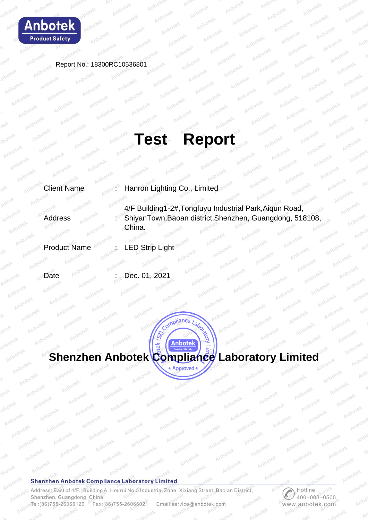

Report No.: 18300RC10536801

# **Test Report**

Client Name : Hanron Lighting Co., Limited

- Address society in 4/F Building1-2#,Tongfuyu Industrial Park,Aiqun Road, ShiyanTown,Baoan district,Shenzhen, Guangdong, 518108, China.
- Product Name : LED Strip Light
- Date : Dec. 01, 2021



**Anbotek** 

Compliance Laboration

IRIC

 $\frac{1}{\alpha}$ 

## **Shenzhen Anbotek Compliance Laboratory Limited**

Address: East of 4/F., Building A, Hourui No.3 Industrial Zone, Xixiang Street, Bao'an District, Shenzhen, Guangdong, China Tel: (86) 755-26066126 Fax: (86) 755-26066021 Email:service@anbotek.com

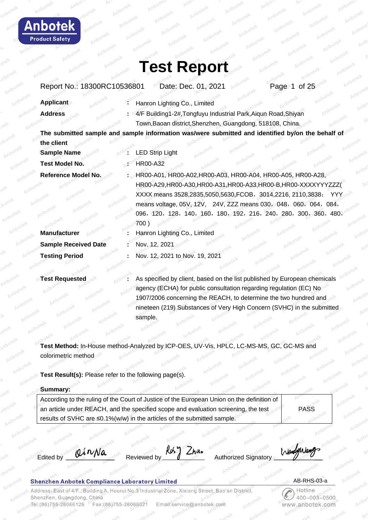

| Report No.: 18300RC10536801 | Date: Dec. 01, 2021<br>Page 1 of 25                                                               |
|-----------------------------|---------------------------------------------------------------------------------------------------|
| <b>Applicant</b>            | Hanron Lighting Co., Limited                                                                      |
| <b>Address</b>              | 4/F Building1-2#, Tongfuyu Industrial Park, Aiqun Road, Shiyan                                    |
|                             | Town, Baoan district, Shenzhen, Guangdong, 518108, China.                                         |
|                             | The submitted sample and sample information was/were submitted and identified by/on the behalf of |
| the client                  |                                                                                                   |
| <b>Sample Name</b>          | <b>LED Strip Light</b>                                                                            |
| <b>Test Model No.</b>       | <b>HR00-A32</b>                                                                                   |
| Reference Model No.         | HR00-A01, HR00-A02, HR00-A03, HR00-A04, HR00-A05, HR00-A28,                                       |
|                             | HR00-A29,HR00-A30,HR00-A31,HR00-A33,HR00-B,HR00-XXXXYYYZZZ(                                       |
|                             | XXXX means 3528,2835,5050,5630, FCOB, 3014, 2216, 2110, 3838;<br>YYY.                             |
|                             | means voltage, 05V, 12V, 24V, ZZZ means 030, 048, 060, 064, 084,                                  |
|                             | 096, 120, 128, 140, 160, 180, 192, 216, 240, 280, 300, 360, 480,                                  |
|                             | 700)                                                                                              |
| <b>Manufacturer</b>         | Hanron Lighting Co., Limited                                                                      |
| <b>Sample Received Date</b> | Nov. 12, 2021                                                                                     |
| <b>Testing Period</b>       | Nov. 12, 2021 to Nov. 19, 2021                                                                    |
|                             |                                                                                                   |
| <b>Test Requested</b>       | As specified by client, based on the list published by European chemicals                         |
|                             | agency (ECHA) for public consultation regarding requlation (EC) No                                |

agency (ECHA) for public consultation regarding regulation (EC) No 1907/2006 concerning the REACH, to determine the two hundred and nineteen (219) Substances of Very High Concern (SVHC) in the submitted sample.

**Test Method:** In-House method-Analyzed by ICP-OES, UV-Vis, HPLC, LC-MS-MS, GC, GC-MS and colorimetric method

**Test Result(s):** Please refer to the following page(s).

### **Summary:**

nbote

**Product Safety** 

| According to the ruling of the Court of Justice of the European Union on the definition of |             |
|--------------------------------------------------------------------------------------------|-------------|
| an article under REACH, and the specified scope and evaluation screening, the test         | <b>PASS</b> |
| results of SVHC are ≤0.1%(w/w) in the articles of the submitted sample.                    |             |

Edited by  $\theta \wedge \theta \wedge \theta$  Reviewed by  $\frac{R \cdot \theta}{2}$  Authorized Signatory KoS

Wendogwan

### **Shenzhen Anbotek Compliance Laboratory Limited**

Address: East of 4/F., Building A, Hourui No.3 Industrial Zone, Xixiang Street, Bao'an District, Shenzhen, Guangdong, China 26066021 Tel:(86)755-26066126 Fax: (86) Email:service@anbotek.com

 AB-RHS-03-a Hotline

 $400 - 003 - 0500$ 

ww.anbotek.com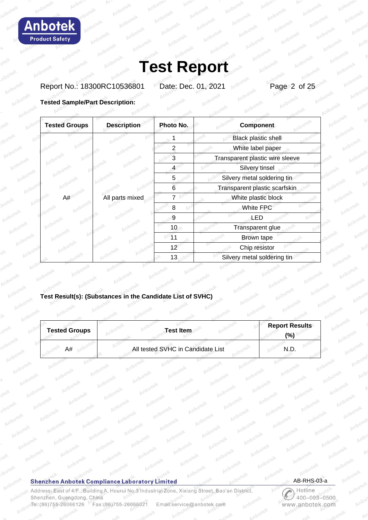

Report No.: 18300RC10536801 Date: Dec. 01, 2021 Page 2 of 25

### **Tested Sample/Part Description:**

| <b>Tested Groups</b> | <b>Description</b> | Photo No. | Component                       |
|----------------------|--------------------|-----------|---------------------------------|
|                      |                    |           | <b>Black plastic shell</b>      |
|                      |                    | 2         | White label paper               |
|                      |                    |           | Transparent plastic wire sleeve |
|                      |                    |           | Silvery tinsel                  |
|                      |                    | 5         | Silvery metal soldering tin     |
|                      |                    | 6         | Transparent plastic scarfskin   |
| A#                   | All parts mixed    |           | White plastic block             |
|                      |                    | 8         | White FPC                       |
|                      |                    | 9         | LED                             |
|                      |                    | 10        | Transparent glue                |
|                      |                    |           | Brown tape                      |
|                      |                    | 12        | Chip resistor                   |
|                      |                    | 13        | Silvery metal soldering tin     |
|                      |                    |           |                                 |

## **Test Result(s): (Substances in the Candidate List of SVHC)**

| <b>Tested Groups</b> | Test Item                         | <b>Report Results</b><br>$\frac{1}{2}$ |
|----------------------|-----------------------------------|----------------------------------------|
| A#                   | All tested SVHC in Candidate List |                                        |

#### **Shenzhen Anbotek Compliance Laboratory Limited**

Anp

Address: East of 4/F., Building A, Hourui No.3 Industrial Zone, Xixiang Street, Bao'an District, Shenzhen, Guangdong, China Tel:(86)755-26066126 Fax:(86)755-26066021 Email:service@anbotek.com

 $p_{\rm s}$ 

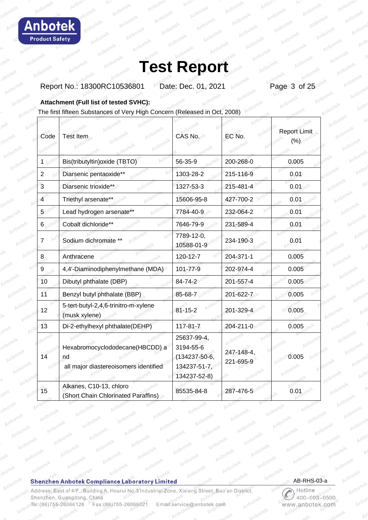

Report No.: 18300RC10536801 Date: Dec. 01, 2021 Page 3 of 25

**Attachment (Full list of tested SVHC):**

The first fifteen Substances of Very High Concern (Released in Oct, 2008) Г

| Code           | <b>J</b> botek<br>Test Item                                                    | <b>CAS No.</b>                                                            | EC No.                  | <b>Report Limit</b><br>(%) |
|----------------|--------------------------------------------------------------------------------|---------------------------------------------------------------------------|-------------------------|----------------------------|
| 1 ⊵            | Bis(tributyltin) oxide (TBTO)                                                  | 56-35-9                                                                   | 200-268-0               | 0.005                      |
| $\overline{2}$ | Diarsenic pentaoxide**                                                         | 1303-28-2                                                                 | 215-116-9               | 0.01                       |
| 3              | Diarsenic trioxide**                                                           | 1327-53-3                                                                 | 215-481-4               | 0.01                       |
| $\overline{4}$ | Triethyl arsenate**                                                            | 15606-95-8                                                                | 427-700-2               | 0.01                       |
| 5 <sup>°</sup> | Lead hydrogen arsenate**                                                       | 7784-40-9                                                                 | 232-064-2               | 0.01                       |
| 6 <sub>1</sub> | Cobalt dichloride**                                                            | 7646-79-9                                                                 | 231-589-4               | 0.01                       |
| 7              | 65<br>Sodium dichromate **                                                     | 7789-12-0,<br>10588-01-9                                                  | 234-190-3               | 0.01                       |
| 8 <sub>1</sub> | Anthracene                                                                     | 120-12-7                                                                  | 204-371-1               | 0.005                      |
| 9              | 4,4'-Diaminodiphenylmethane (MDA)                                              | 101-77-9                                                                  | 202-974-4               | 0.005                      |
| 10             | Dibutyl phthalate (DBP)                                                        | 84-74-2                                                                   | 201-557-4               | 0.005                      |
| 11             | Benzyl butyl phthalate (BBP)                                                   | 85-68-7                                                                   | 201-622-7               | 0.005                      |
| 12             | 5-tert-butyl-2,4,6-trinitro-m-xylene<br>(musk xylene)                          | $81 - 15 - 2$                                                             | 201-329-4               | 0.005                      |
| 13             | Di-2-ethylhexyl phthalate(DEHP)                                                | $117 - 81 - 7$                                                            | 204-211-0               | 0.005                      |
| 14             | Hexabromocyclododecane(HBCDD) a<br>nd<br>all major diastereoisomers identified | 25637-99-4,<br>3194-55-6<br>(134237-50-6,<br>134237-51-7,<br>134237-52-8) | 247-148-4,<br>221-695-9 | 0.005                      |
| 15             | Alkanes, C10-13, chloro<br>(Short Chain Chlorinated Paraffins)                 | 85535-84-8                                                                | 287-476-5               | 0.01                       |

### **Shenzhen Anbotek Compliance Laboratory Limited**

Address: East of 4/F., Building A, Hourui No.3 Industrial Zone, Xixiang Street, Bao'an District, Shenzhen, Guangdong, China Tel:(86)755-26066126 Fax:(86)755-26066021 Email:service@anbotek.com

AB-RHS-03-a

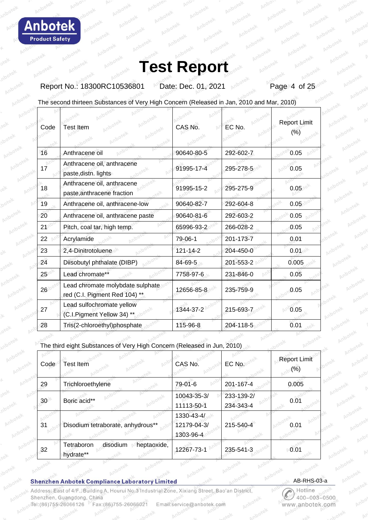**bote Product Safety** 

## **Test Report**

Report No.: 18300RC10536801 Date: Dec. 01, 2021 Page 4 of 25

The second thirteen Substances of Very High Concern (Released in Jan, 2010 and Mar, 2010)

| Code | <b>Test Item</b>                                                  | CAS No.        | EC No.    | Report Limit<br>(%) |
|------|-------------------------------------------------------------------|----------------|-----------|---------------------|
| 16   | Anthracene oil                                                    | 90640-80-5     | 292-602-7 | 0.05                |
| 17   | Anthracene oil, anthracene<br>paste, distn. lights                | 91995-17-4     | 295-278-5 | 0.05                |
| 18   | Anthracene oil, anthracene<br>paste, anthracene fraction          | 91995-15-2     | 295-275-9 | 0.05                |
| 19   | Anthracene oil, anthracene-low                                    | 90640-82-7     | 292-604-8 | 0.05                |
| 20   | Anthracene oil, anthracene paste                                  | 90640-81-6     | 292-603-2 | 0.05                |
| 21   | Pitch, coal tar, high temp.                                       | 65996-93-2     | 266-028-2 | 0.05                |
| 22   | Acrylamide                                                        | 79-06-1        | 201-173-7 | 0.01                |
| 23   | 2,4-Dinitrotoluene                                                | $121 - 14 - 2$ | 204-450-0 | 0.01                |
| 24   | Diisobutyl phthalate (DIBP)                                       | 84-69-5        | 201-553-2 | 0.005               |
| 25   | Lead chromate**                                                   | 7758-97-6      | 231-846-0 | 0.05                |
| 26   | Lead chromate molybdate sulphate<br>red (C.I. Pigment Red 104) ** | 12656-85-8     | 235-759-9 | 0.05                |
| 27   | Lead sulfochromate yellow<br>(C.I.Pigment Yellow 34) **           | 1344-37-2      | 215-693-7 | 0.05                |
| 28   | Tris(2-chloroethyl)phosphate                                      | 115-96-8       | 204-118-5 | 0.01                |

The third eight Substances of Very High Concern (Released in Jun, 2010)

| Code            | <b>Test Item</b>                                   | CAS No.                                | EC No.                  | <b>Report Limit</b><br>$(\% )$ |
|-----------------|----------------------------------------------------|----------------------------------------|-------------------------|--------------------------------|
| 29              | Trichloroethylene                                  | 79-01-6                                | 201-167-4               | 0.005                          |
| 30 <sup>°</sup> | Boric acid**                                       | 10043-35-3/<br>11113-50-1              | 233-139-2/<br>234-343-4 | 0.01                           |
| 31              | Disodium tetraborate, anhydrous**                  | 1330-43-4/<br>12179-04-3/<br>1303-96-4 | 215-540-4               | 0.01                           |
| 32              | heptaoxide,<br>Tetraboron<br>disodium<br>hydrate** | 12267-73-1                             | 235-541-3               | 0.01                           |

#### **Shenzhen Anbotek Compliance Laboratory Limited**

Address: East of 4/F., Building A, Hourui No.3 Industrial Zone, Xixiang Street, Bao'an District Shenzhen, Guangdong, China Tel:(86)755-26066126 Fax: (86) 755-26066021 Email:service@anbotek.com

AB-RHS-03-a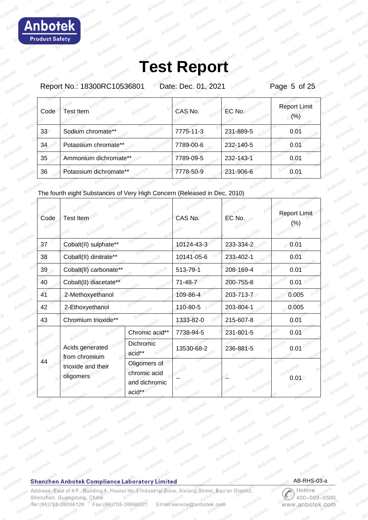Report No.: 18300RC10536801 Date: Dec. 01, 2021 Page 5 of 25

| Code | Test Item              | CAS No.   | EC No.    | <b>Report Limit</b><br>(% ) |
|------|------------------------|-----------|-----------|-----------------------------|
| 33   | Sodium chromate**      | 7775-11-3 | 231-889-5 | 0.01                        |
| 34   | Potassium chromate**   | 7789-00-6 | 232-140-5 | 0.01                        |
| 35   | Ammonium dichromate**  | 7789-09-5 | 232-143-1 | 0.01                        |
| 36   | Potassium dichromate** | 7778-50-9 | 231-906-6 | 0.01                        |

The fourth eight Substances of Very High Concern (Released in Dec, 2010)

| Code              | Test Item                        |                                                         | CAS No.    | EC No.    | <b>Report Limit</b><br>$(\%)$ |
|-------------------|----------------------------------|---------------------------------------------------------|------------|-----------|-------------------------------|
| 37                | Cobalt(II) sulphate**            |                                                         | 10124-43-3 | 233-334-2 | 0.01                          |
| 38                | Cobalt(II) dinitrate**           |                                                         | 10141-05-6 | 233-402-1 | 0.01                          |
| 39                | Cobalt(II) carbonate**           |                                                         | 513-79-1   | 208-169-4 | 0.01                          |
| 40                | Cobalt(II) diacetate**           |                                                         | 71-48-7    | 200-755-8 | 0.01                          |
| 41                | 2-Methoxyethanol                 |                                                         | 109-86-4   | 203-713-7 | 0.005                         |
| 42                | 2-Ethoxyethanol                  |                                                         | 110-80-5   | 203-804-1 | 0.005                         |
| 43                | Chromium trioxide**              |                                                         | 1333-82-0  | 215-607-8 | 0.01                          |
| botek             |                                  | Chromic acid**                                          | 7738-94-5  | 231-801-5 | 0.01                          |
|                   | Acids generated<br>from chromium | Dichromic<br>acid**                                     | 13530-68-2 | 236-881-5 | 0.01                          |
| 44<br>$A_{\odot}$ | trioxide and their<br>oligomers  | Oligomers of<br>chromic acid<br>and dichromic<br>acid** |            |           | 0.01                          |

### **Shenzhen Anbotek Compliance Laboratory Limited**

Address: East of 4/F., Building A, Hourui No.3 Industrial Zone, Xixiang Street, Bao'an District, Shenzhen, Guangdong, China Tel:(86)755-26066126 Fax:(86)755-26066021 Email:service@anbotek.com

AB-RHS-03-a

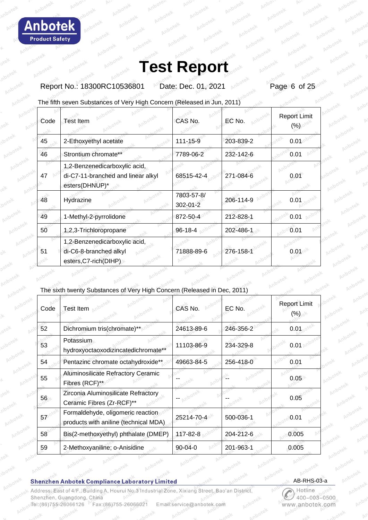Report No.: 18300RC10536801 Date: Dec. 01, 2021 Page 6 of 25

The fifth seven Substances of Very High Concern (Released in Jun, 2011)

| Code | <b>Test Item</b>                                                                      | CAS No.                | EC No.    | <b>Report Limit</b><br>$(\% )$ |
|------|---------------------------------------------------------------------------------------|------------------------|-----------|--------------------------------|
| 45   | 2-Ethoxyethyl acetate                                                                 | 111-15-9               | 203-839-2 | 0.01                           |
| 46   | Strontium chromate**                                                                  | 7789-06-2              | 232-142-6 | 0.01                           |
| 47   | 1,2-Benzenedicarboxylic acid,<br>di-C7-11-branched and linear alkyl<br>esters(DHNUP)* | 68515-42-4             | 271-084-6 | 0.01                           |
| 48   | Hydrazine                                                                             | 7803-57-8/<br>302-01-2 | 206-114-9 | 0.01                           |
| 49   | 1-Methyl-2-pyrrolidone                                                                | 872-50-4               | 212-828-1 | 0.01                           |
| 50   | 1,2,3-Trichloropropane                                                                | 96-18-4                | 202-486-1 | 0.01                           |
| 51   | 1,2-Benzenedicarboxylic acid,<br>di-C6-8-branched alkyl<br>esters, C7-rich(DIHP)      | 71888-89-6             | 276-158-1 | 0.01                           |

## The sixth twenty Substances of Very High Concern (Released in Dec, 2011)

| Code | <b>Test Item</b>                                                           | CAS No.       | EC No.    | <b>Report Limit</b><br>(%) |
|------|----------------------------------------------------------------------------|---------------|-----------|----------------------------|
| 52   | Dichromium tris(chromate)**                                                | 24613-89-6    | 246-356-2 | 0.01                       |
| 53   | Potassium<br>hydroxyoctaoxodizincatedichromate**                           | 11103-86-9    | 234-329-8 | 0.01                       |
| 54   | Pentazinc chromate octahydroxide**                                         | 49663-84-5    | 256-418-0 | 0.01                       |
| 55   | Aluminosilicate Refractory Ceramic<br>Fibres (RCF)**                       |               |           | 0.05                       |
| 56   | Zirconia Aluminosilicate Refractory<br>Ceramic Fibres (Zr-RCF)**           |               |           | 0.05                       |
| 57   | Formaldehyde, oligomeric reaction<br>products with aniline (technical MDA) | 25214-70-4    | 500-036-1 | 0.01                       |
| 58   | Bis(2-methoxyethyl) phthalate (DMEP)                                       | 117-82-8      | 204-212-6 | 0.005                      |
| 59   | 2-Methoxyaniline; o-Anisidine                                              | $90 - 04 - 0$ | 201-963-1 | 0.005                      |

### **Shenzhen Anbotek Compliance Laboratory Limited**

Address: East of 4/F., Building A, Hourui No.3 Industrial Zone, Xixiang Street, Bao'an District, Shenzhen, Guangdong, China Tel:(86)755-26066126 Fax:(86)755-26066021 Email:service@anbotek.com

AB-RHS-03-a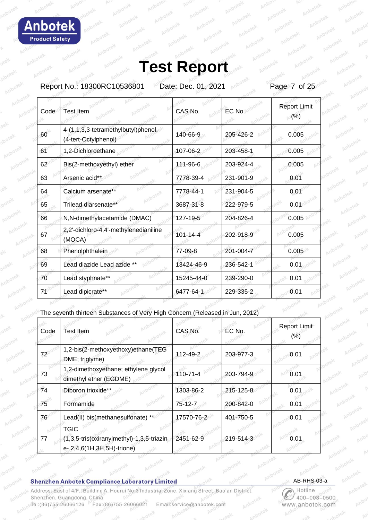Report No.: 18300RC10536801 Date: Dec. 01, 2021 Page 7 of 25

| Code | <b>Test Item</b>                                            | CAS No.    | EC No.    | <b>Report Limit</b><br>(%) |
|------|-------------------------------------------------------------|------------|-----------|----------------------------|
| 60   | 4-(1,1,3,3-tetramethylbutyl)phenol,<br>(4-tert-Octylphenol) | 140-66-9   | 205-426-2 | 0.005                      |
| 61   | 1,2-Dichloroethane                                          | 107-06-2   | 203-458-1 | 0.005                      |
| 62   | Bis(2-methoxyethyl) ether                                   | 111-96-6   | 203-924-4 | 0.005                      |
| 63   | Arsenic acid**                                              | 7778-39-4  | 231-901-9 | 0.01                       |
| 64   | Calcium arsenate**                                          | 7778-44-1  | 231-904-5 | 0.01                       |
| 65   | Trilead diarsenate**                                        | 3687-31-8  | 222-979-5 | 0.01                       |
| 66   | N,N-dimethylacetamide (DMAC)                                | 127-19-5   | 204-826-4 | 0.005                      |
| 67   | 2,2'-dichloro-4,4'-methylenedianiline<br>(MOCA)             | 101-14-4   | 202-918-9 | 0.005                      |
| 68   | Phenolphthalein                                             | 77-09-8    | 201-004-7 | 0.005                      |
| 69   | Lead diazide Lead azide **                                  | 13424-46-9 | 236-542-1 | 0.01                       |
| 70   | Lead styphnate**                                            | 15245-44-0 | 239-290-0 | 0.01                       |
| 71   | Lead dipicrate**                                            | 6477-64-1  | 229-335-2 | 0.01                       |
|      |                                                             |            |           |                            |

The seventh thirteen Substances of Very High Concern (Released in Jun, 2012)

| Code | <b>Test Item</b>                                                                       | CAS No.    | EC No.    | <b>Report Limit</b><br>(% ) |
|------|----------------------------------------------------------------------------------------|------------|-----------|-----------------------------|
| 72   | 1,2-bis(2-methoxyethoxy)ethane(TEG<br>DME; triglyme)                                   | 112-49-2   | 203-977-3 | 0.01                        |
| 73   | 1,2-dimethoxyethane; ethylene glycol<br>dimethyl ether (EGDME)                         | 110-71-4   | 203-794-9 | 0.01                        |
| 74   | Diboron trioxide**                                                                     | 1303-86-2  | 215-125-8 | 0.01                        |
| 75   | Formamide                                                                              | 75-12-7    | 200-842-0 | 0.01                        |
| 76   | Lead(II) bis(methanesulfonate) **                                                      | 17570-76-2 | 401-750-5 | 0.01                        |
| 77   | <b>TGIC</b><br>(1,3,5-tris(oxiranylmethyl)-1,3,5-triazin<br>e- 2,4,6(1H,3H,5H)-trione) | 2451-62-9  | 219-514-3 | 0.01                        |

### **Shenzhen Anbotek Compliance Laboratory Limited**

Address: East of 4/F., Building A, Hourui No.3 Industrial Zone, Xixiang Street, Bao'an District, Shenzhen, Guangdong, China Tel:(86)755-26066126 Fax:(86)755-26066021 Email:service@anbotek.com

AB-RHS-03-a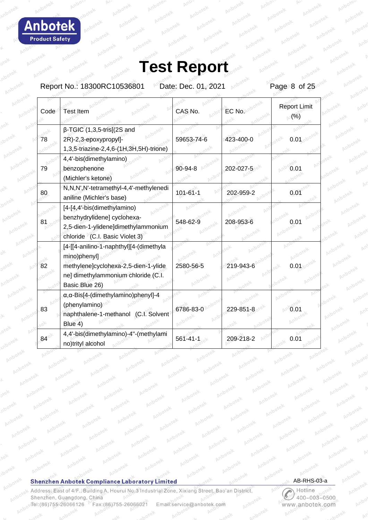Δ h  $\Omega$ **Product Safety** 

## **Test Report**

Report No.: 18300RC10536801 Date: Dec. 01, 2021 Page 8 of 25

|    | Code       | <b>Test Item</b>                                                                                                                                         | CAS No.        | EC No.    | <b>Report Limit</b><br>(% ) |
|----|------------|----------------------------------------------------------------------------------------------------------------------------------------------------------|----------------|-----------|-----------------------------|
| 78 |            | $\beta$ -TGIC (1,3,5-tris[(2S and<br>2R)-2,3-epoxypropyl]-<br>1,3,5-triazine-2,4,6-(1H,3H,5H)-trione)                                                    | 59653-74-6     | 423-400-0 | 0.0                         |
| 79 |            | 4,4'-bis(dimethylamino)<br>benzophenone<br>(Michler's ketone)                                                                                            | 90-94-8        | 202-027-5 | 0.01                        |
| 80 |            | N,N,N',N'-tetramethyl-4,4'-methylenedi<br>aniline (Michler's base)                                                                                       | $101 - 61 - 1$ | 202-959-2 | 0.01                        |
| 81 |            | [4-[4,4'-bis(dimethylamino)<br>benzhydrylidene] cyclohexa-<br>2,5-dien-1-ylidene]dimethylammonium<br>chloride (C.I. Basic Violet 3)                      | 548-62-9       | 208-953-6 | 0.01                        |
| 82 |            | [4-[[4-anilino-1-naphthyl][4-(dimethyla<br>mino)phenyl]<br>methylene]cyclohexa-2,5-dien-1-ylide<br>ne] dimethylammonium chloride (C.I.<br>Basic Blue 26) | 2580-56-5      | 219-943-6 | 0.01                        |
| 83 |            | α, α-Bis[4-(dimethylamino)phenyl]-4<br>(phenylamino)<br>naphthalene-1-methanol (C.I. Solvent<br>Blue 4)                                                  | 6786-83-0      | 229-851-8 | 0.01                        |
|    | $84^\circ$ | 4,4'-bis(dimethylamino)-4"-(methylami<br>no)trityl alcohol                                                                                               | $561 - 41 - 1$ | 209-218-2 | 0.01                        |

## **Shenzhen Anbotek Compliance Laboratory Limited**

Ano

Address: East of 4/F., Building A, Hourui No.3 Industrial Zone, Xixiang Street, Bao'an District, Shenzhen, Guangdong, China Tel:(86)755-26066126 Fax:(86)755-26066021 Email:service@anbotek.com

 $p_{\rm s}$ 

AB-RHS-03-a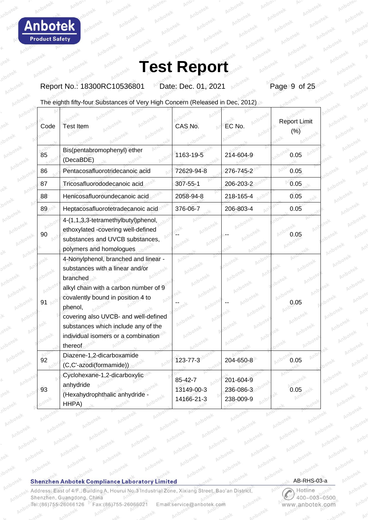ho **Product Safety** 

# **Test Report**

Report No.: 18300RC10536801 Date: Dec. 01, 2021 Page 9 of 25

The eighth fifty-four Substances of Very High Concern (Released in Dec, 2012)

| Code | Anbotek<br><b>Test Item</b>                                                                                                             | CAS No.                             | EC No.                              | <b>Report Limit</b><br>(%) |
|------|-----------------------------------------------------------------------------------------------------------------------------------------|-------------------------------------|-------------------------------------|----------------------------|
| 85   | Bis(pentabromophenyl) ether<br>(DecaBDE)                                                                                                | 1163-19-5                           | 214-604-9                           | 0.05                       |
| 86   | Pentacosafluorotridecanoic acid                                                                                                         | 72629-94-8                          | 276-745-2                           | 0.05                       |
| 87   | Tricosafluorododecanoic acid                                                                                                            | 307-55-1                            | 206-203-2                           | 0.05                       |
| 88   | Henicosafluoroundecanoic acid                                                                                                           | 2058-94-8                           | 218-165-4                           | 0.05                       |
| 89   | Heptacosafluorotetradecanoic acid                                                                                                       | 376-06-7                            | 206-803-4                           | 0.05                       |
| 90   | 4-(1,1,3,3-tetramethylbutyl)phenol,<br>ethoxylated -covering well-defined<br>substances and UVCB substances,<br>polymers and homologues |                                     |                                     | 0.05                       |
| tex  | 4-Nonylphenol, branched and linear -<br>substances with a linear and/or<br>branched<br>alkyl chain with a carbon number of 9            |                                     | Anb                                 | <b>hotek</b>               |
| 91   | covalently bound in position 4 to<br>phenol,                                                                                            |                                     |                                     | Anbc<br>0.05               |
|      | covering also UVCB- and well-defined<br>substances which include any of the<br>individual isomers or a combination<br>thereof           | Anbotek                             | Anjo                                |                            |
| 92   | Diazene-1,2-dicarboxamide<br>(C,C'-azodi(formamide))                                                                                    | 123-77-3                            | 204-650-8                           | 0.05                       |
| 93   | Cyclohexane-1,2-dicarboxylic<br>anhydride<br>(Hexahydrophthalic anhydride<br>HHPA)                                                      | 85-42-7<br>13149-00-3<br>14166-21-3 | 201-604-9<br>236-086-3<br>238-009-9 | 0.05                       |

### **Shenzhen Anbotek Compliance Laboratory Limited**

Address: East of 4/F., Building A, Hourui No.3 Industrial Zone, Xixiang Street, Bao'an District, Shenzhen, Guangdong, China Tel:(86)755-26066126 Fax:(86)755-26066021 Email:service@anbotek.com

AB-RHS-03-a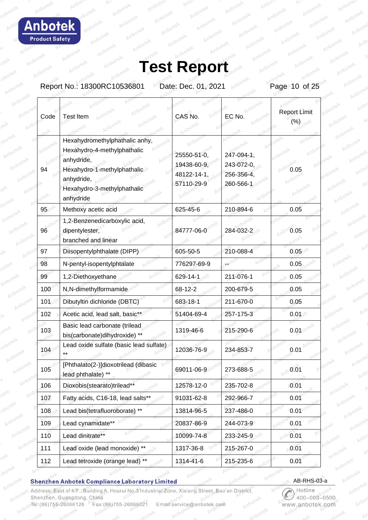hol **Product Safety** 

# **Test Report**

Report No.: 18300RC10536801 Date: Dec. 01, 2021 Page 10 of 25

| Code | <b>Test Item</b>                                                            | CAS No.                                  | EC No.                                | <b>Report Limit</b><br>(%) |
|------|-----------------------------------------------------------------------------|------------------------------------------|---------------------------------------|----------------------------|
|      |                                                                             |                                          |                                       |                            |
|      | Hexahydromethylphathalic anhy,<br>Hexahydro-4-methylphathalic<br>anhydride, | 25550-51-0,                              | 247-094-1,                            |                            |
| 94   | Hexahydro-1-methylphathalic<br>anhydride,<br>Hexahydro-3-methylphathalic    | 19438-60-9,<br>48122-14-1,<br>57110-29-9 | 243-072-0,<br>256-356-4,<br>260-566-1 | 0.05                       |
|      | anhydride                                                                   |                                          |                                       |                            |
| 95   | Methoxy acetic acid                                                         | 625-45-6                                 | 210-894-6                             | 0.05                       |
| 96   | 1,2-Benzenedicarboxylic acid,<br>dipentylester,<br>branched and linear      | 84777-06-0                               | 284-032-2                             | 0.05                       |
| 97   | Diisopentylphthalate (DIPP)                                                 | 605-50-5                                 | 210-088-4                             | 0.05 <sup>°</sup>          |
| 98   | N-pentyl-isopentylphtalate                                                  | 776297-69-9                              |                                       | 0.05                       |
| 99   | 1,2-Diethoxyethane                                                          | 629-14-1                                 | 211-076-1                             | 0.05                       |
| 100  | N,N-dimethylformamide                                                       | 68-12-2                                  | 200-679-5                             | 0.05                       |
| 101  | Dibutyltin dichloride (DBTC)                                                | 683-18-1                                 | 211-670-0                             | 0.05                       |
| 102  | Acetic acid, lead salt, basic**                                             | 51404-69-4                               | 257-175-3                             | 0.01                       |
| 103  | Basic lead carbonate (trilead<br>bis(carbonate)dihydroxide) **              | 1319-46-6                                | 215-290-6                             | 0.01                       |
| 104  | Lead oxide sulfate (basic lead sulfate)                                     | 12036-76-9                               | 234-853-7                             | 0.01                       |
| 105  | [Phthalato(2-)]dioxotrilead (dibasic<br>lead phthalate) **                  | 69011-06-9                               | 273-688-5                             | 0.01                       |
| 106  | Dioxobis(stearato)trilead**                                                 | 12578-12-0                               | 235-702-8                             | 0.01                       |
| 107  | Fatty acids, C16-18, lead salts*                                            | 91031-62-8                               | 292-966-7                             | 0.01                       |
| 108  | Lead bis(tetrafluoroborate) **                                              | 13814-96-5                               | 237-486-0                             | 0.01                       |
| 109  | Lead cynamidate**                                                           | 20837-86-9                               | 244-073-9                             | 0.01                       |
| 110  | Lead dinitrate**                                                            | 10099-74-8                               | 233-245-9                             | 0.01                       |
| 111  | Lead oxide (lead monoxide) **                                               | 1317-36-8                                | 215-267-0                             | 0.01                       |
| 112  | Lead tetroxide (orange lead) **                                             | 1314-41-6                                | 215-235-6                             | 0.01                       |

### **Shenzhen Anbotek Compliance Laboratory Limited**

Address: East of 4/F., Building A, Hourui No.3 Industrial Zone, Xixiang Street, Bao'an District, Shenzhen, Guangdong, China Tel:(86)755-26066126 Fax: (86) 755-26066021 Email:service@anbotek.com

AB-RHS-03-a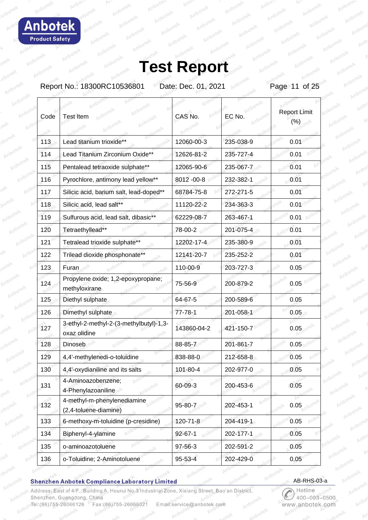bo· **Product Safety** 

# **Test Report**

Report No.: 18300RC10536801 Date: Dec. 01, 2021 Page 11 of 25

| Code | <b>Test Item</b>                                        | CAS No.                     | EC No.    | <b>Report Limit</b><br>$(\% )$ |
|------|---------------------------------------------------------|-----------------------------|-----------|--------------------------------|
| 113  | Lead titanium trioxide**                                | 12060-00-3                  | 235-038-9 | 0.01                           |
| 114  | Lead Titanium Zirconium Oxide**                         | 12626-81-2                  | 235-727-4 | 0.01                           |
| 115  | Pentalead tetraoxide sulphate**                         | 12065-90-6                  | 235-067-7 | 0.01                           |
| 116  | Pyrochlore, antimony lead yellow**                      | 8012 - 00-8                 | 232-382-1 | 0.01                           |
| 117  | Silicic acid, barium salt, lead-doped**                 | 68784-75-8                  | 272-271-5 | 0.01                           |
| 118  | Silicic acid, lead salt**                               | 11120-22-2                  | 234-363-3 | 0.01                           |
| 119  | Sulfurous acid, lead salt, dibasic**                    | 62229-08-7                  | 263-467-1 | 0.01                           |
| 120  | Tetraethyllead**                                        | 78-00-2                     | 201-075-4 | 0.01                           |
| 121  | Tetralead trioxide sulphate**                           | 12202-17-4                  | 235-380-9 | 0.01                           |
| 122  | Trilead dioxide phosphonate**                           | 12141-20-7                  | 235-252-2 | 0.01                           |
| 123  | Furan,                                                  | 110-00-9                    | 203-727-3 | 0.05                           |
| 124  | Propylene oxide; 1,2-epoxypropane;<br>methyloxirane     | 75-56-9                     | 200-879-2 | 0.05                           |
| 125  | Diethyl sulphate                                        | 64-67-5                     | 200-589-6 | 0.05                           |
| 126  | Dimethyl sulphate                                       | $77 - 78 - 1$               | 201-058-1 | $0.05 +$                       |
| 127  | 3-ethyl-2-methyl-2-(3-methylbutyl)-1,3-<br>oxaz olidine | 143860-04-2                 | 421-150-7 | $0.05 -$                       |
| 128  | Dinoseb                                                 | 88-85-7                     | 201-861-7 | 0.05                           |
| 129  | 4,4'-methylenedi-o-toluidine                            | 838-88-0                    | 212-658-8 | 0.05                           |
| 130  | 4,4'-oxydianiline and its salts                         | 101-80-4                    | 202-977-0 | 0.05                           |
| 131  | 4-Aminoazobenzene;<br>4-Phenylazoaniline                | 60-09-3                     | 200-453-6 | 0.05                           |
| 132  | 4-methyl-m-phenylenediamine<br>(2,4-toluene-diamine)    | 95-80-7                     | 202-453-1 | 0.05                           |
| 133  | 6-methoxy-m-toluidine (p-cresidine)                     | 120-71-8                    | 204-419-1 | 0.05                           |
| 134  | Biphenyl-4-ylamine                                      | $92 - 67 - 1$               | 202-177-1 | 0.05                           |
| 135  | o-aminoazotoluene                                       | 97-56-3<br>bi <sub>tr</sub> | 202-591-2 | 0.05                           |
| 136  | o-Toluidine; 2-Aminotoluene                             | 95-53-4                     | 202-429-0 | 0.05                           |

### **Shenzhen Anbotek Compliance Laboratory Limited**

Address: East of 4/F., Building A, Hourui No.3 Industrial Zone, Xixiang Street, Bao'an District, Shenzhen, Guangdong, China Tel:(86)755-26066126 Fax:(86)755-26066021 Email:service@anbotek.com

AB-RHS-03-a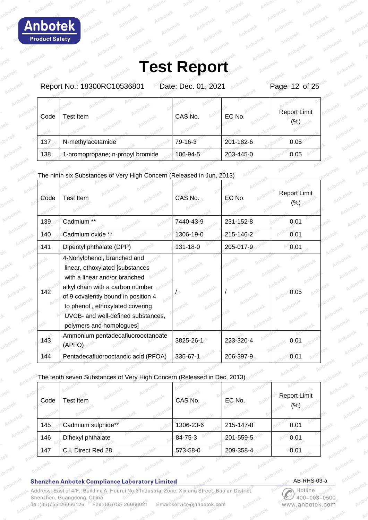Report No.: 18300RC10536801 Date: Dec. 01, 2021 Page 12 of 25

| Code | est Item                         | CAS No.  | EC No.    | <b>Report Limit</b><br>(%) |
|------|----------------------------------|----------|-----------|----------------------------|
| 137  | N-methylacetamide                | 79-16-3  | 201-182-6 | 0.05                       |
| 138  | 1-bromopropane; n-propyl bromide | 106-94-5 | 203-445-0 | 0.05                       |

## The ninth six Substances of Very High Concern (Released in Jun, 2013)

| Code | <b>Test Item</b>                                                                                                                                                                                                                                                                | CAS No.   | EC No.    | <b>Report Limit</b> |
|------|---------------------------------------------------------------------------------------------------------------------------------------------------------------------------------------------------------------------------------------------------------------------------------|-----------|-----------|---------------------|
| 139  | Cadmium **                                                                                                                                                                                                                                                                      | 7440-43-9 | 231-152-8 | 0.01                |
| 140  | Cadmium oxide **                                                                                                                                                                                                                                                                | 1306-19-0 | 215-146-2 | 0.01                |
| 141  | Dipentyl phthalate (DPP)                                                                                                                                                                                                                                                        | 131-18-0  | 205-017-9 | 0.01                |
| 142  | 4-Nonylphenol, branched and<br>linear, ethoxylated [substances<br>with a linear and/or branched<br>alkyl chain with a carbon number<br>of 9 covalently bound in position 4<br>to phenol, ethoxylated covering<br>UVCB- and well-defined substances,<br>polymers and homologues] |           |           | 0.05                |
| 143  | Ammonium pentadecafluorooctanoate<br>(APFO)                                                                                                                                                                                                                                     | 3825-26-1 | 223-320-4 | 0.01                |
| 144  | Pentadecafluorooctanoic acid (PFOA)                                                                                                                                                                                                                                             | 335-67-1  | 206-397-9 | 0.01                |

The tenth seven Substances of Very High Concern (Released in Dec, 2013)

| Code | Test Item          | CAS No.   | EC No.    | <b>Report Limit</b><br>$(\% )$ |
|------|--------------------|-----------|-----------|--------------------------------|
| 145  | Cadmium sulphide** | 1306-23-6 | 215-147-8 | 0.01                           |
| 146  | Dihexyl phthalate  | 84-75-3   | 201-559-5 | 0.01                           |
| 147  | C.I. Direct Red 28 | 573-58-0  | 209-358-4 | 0.01                           |

#### **Shenzhen Anbotek Compliance Laboratory Limited**

Address: East of 4/F., Building A, Hourui No.3 Industrial Zone, Xixiang Street, Bao'an District Shenzhen, Guangdong, China Tel:(86)755-26066126 Fax: (86) 755-26066021 Email:service@anbotek.com

AB-RHS-03-a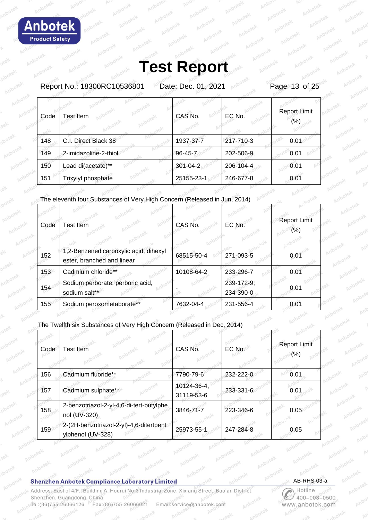Report No.: 18300RC10536801 Date: Dec. 01, 2021 Page 13 of 25

| Code | <b>Test Item</b>      | CAS No.    | EC No.    | Report Limit<br>(%) |
|------|-----------------------|------------|-----------|---------------------|
| 148  | C.I. Direct Black 38  | 1937-37-7  | 217-710-3 | 0.01                |
| 149  | 2-imidazoline-2-thiol | 96-45-7    | 202-506-9 | 0.01                |
| 150  | Lead di(acetate)**    | 301-04-2   | 206-104-4 | 0.01                |
| 151  | Trixylyl phosphate    | 25155-23-1 | 246-677-8 | 0.01                |

The eleventh four Substances of Very High Concern (Released in Jun, 2014)

| Code | <b>Test Item</b>                                                    | CAS No.    | EC No.                  | <b>Report Limit</b><br>(%) |
|------|---------------------------------------------------------------------|------------|-------------------------|----------------------------|
| 152  | 1,2-Benzenedicarboxylic acid, dihexyl<br>ester, branched and linear | 68515-50-4 | 271-093-5               | 0.01                       |
| 153  | Cadmium chloride**                                                  | 10108-64-2 | 233-296-7               | 0.01                       |
| 154  | Sodium perborate; perboric acid,<br>sodium salt**                   |            | 239-172-9;<br>234-390-0 | 0.01                       |
| 155  | Sodium peroxometaborate**                                           | 7632-04-4  | 231-556-4               | 0.01                       |

T

The Twelfth six Substances of Very High Concern (Released in Dec, 2014)

| Code | <b>Test Item</b>                                             | CAS No.                   | EC No.    | <b>Report Limit</b><br>(%) |
|------|--------------------------------------------------------------|---------------------------|-----------|----------------------------|
| 156  | Cadmium fluoride**                                           | 7790-79-6                 | 232-222-0 | 0.01                       |
| 157  | Cadmium sulphate**                                           | 10124-36-4,<br>31119-53-6 | 233-331-6 | 0.01                       |
| 158  | 2-benzotriazol-2-yl-4,6-di-tert-butylphe<br>nol (UV-320)     | 3846-71-7                 | 223-346-6 | 0.05                       |
| 159  | 2-(2H-benzotriazol-2-yl)-4,6-ditertpent<br>ylphenol (UV-328) | 25973-55-1                | 247-284-8 | 0.05                       |

### **Shenzhen Anbotek Compliance Laboratory Limited**

Address: East of 4/F., Building A, Hourui No.3 Industrial Zone, Xixiang Street, Bao'an District Shenzhen, Guangdong, China Tel:(86)755-26066126 Fax:(86)755-26066021 Email:service@anbotek.com

AB-RHS-03-a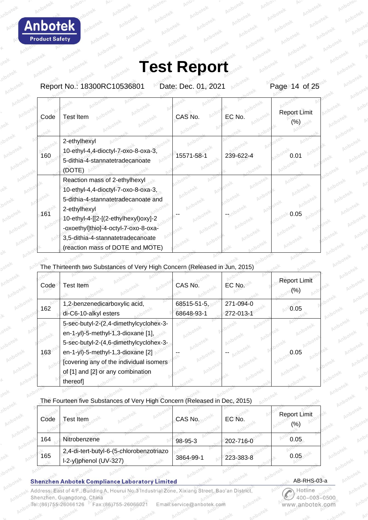hote **Product Safety** 

# **Test Report**

Report No.: 18300RC10536801 Date: Dec. 01, 2021 Page 14 of 25

| Code | <b>Test Item</b>                          | CAS No.    | EC No.    | <b>Report Limit</b> |
|------|-------------------------------------------|------------|-----------|---------------------|
|      |                                           |            |           |                     |
|      | 2-ethylhexyl                              |            |           |                     |
| 160  | 10-ethyl-4,4-dioctyl-7-oxo-8-oxa-3,       | 15571-58-1 | 239-622-4 | 0.0°                |
|      | 5-dithia-4-stannatetradecanoate<br>(DOTE) |            |           |                     |
|      | Reaction mass of 2-ethylhexyl             |            |           |                     |
|      | 10-ethyl-4,4-dioctyl-7-oxo-8-oxa-3,       |            |           |                     |
|      | 5-dithia-4-stannatetradecanoate and       |            |           |                     |
| 161  | 2-ethylhexyl                              |            |           | 0.05                |
|      | 10-ethyl-4-[[2-[(2-ethylhexyl)oxy]-2      |            |           |                     |
|      | -oxoethyl]thio]-4-octyl-7-oxo-8-oxa-      |            |           |                     |
|      | 3,5-dithia-4-stannatetradecanoate         |            |           |                     |
|      | (reaction mass of DOTE and MOTE)          |            |           |                     |

## The Thirteenth two Substances of Very High Concern (Released in Jun, 2015)

| Code | <b>Test Item</b>                         | CAS No.           | EC No.    | <b>Report Limit</b> |
|------|------------------------------------------|-------------------|-----------|---------------------|
| 162  | 1,2-benzenedicarboxylic acid,            | $68515 - 51 - 5,$ | 271-094-0 | 0.05                |
|      | di-C6-10-alkyl esters                    | 68648-93-1        | 272-013-1 |                     |
|      | 5-sec-butyl-2-(2,4-dimethylcyclohex-3-   |                   |           |                     |
|      | en-1-yl)-5-methyl-1,3-dioxane [1],       |                   |           |                     |
|      | 5-sec-butyl-2-(4,6-dimethylcyclohex-3-   |                   |           |                     |
| 163  | en-1-yl)-5-methyl-1,3-dioxane [2]        |                   |           | 0.05                |
|      | [covering any of the individual isomers] |                   |           |                     |
|      | of [1] and [2] or any combination        |                   |           |                     |
|      | thereof]                                 |                   |           |                     |

### The Fourteen five Substances of Very High Concern (Released in Dec, 2015)

| Code | Test Item                                                          | CAS No.   | EC No.    | Report Limit<br>$(\% )$ |
|------|--------------------------------------------------------------------|-----------|-----------|-------------------------|
| 164  | Nitrobenzene                                                       | 98-95-3   | 202-716-0 | 0.05                    |
| 165  | 2,4-di-tert-butyl-6-(5-chlorobenzotriazo<br>I-2-yl)phenol (UV-327) | 3864-99-1 | 223-383-8 | 0.05                    |

### **Shenzhen Anbotek Compliance Laboratory Limited**

Address: East of 4/F., Building A, Hourui No.3 Industrial Zone, Xixiang Street, Bao'an District Shenzhen, Guangdong, China Tel:(86)755-26066126 Fax:(86)755-2606602 Email:service@anbotek.com

AB-RHS-03-a

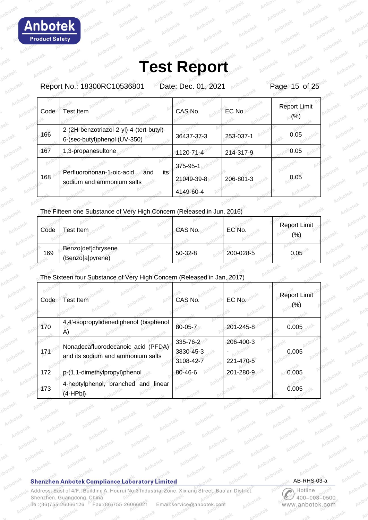Report No.: 18300RC10536801 Date: Dec. 01, 2021 Page 15 of 25

| Code | Test Item                                                                | CAS No.                             | EC No.    | <b>Report Limit</b><br>$(\% )$ |
|------|--------------------------------------------------------------------------|-------------------------------------|-----------|--------------------------------|
| 166  | 2-(2H-benzotriazol-2-yl)-4-(tert-butyl)-<br>6-(sec-butyl)phenol (UV-350) | 36437-37-3                          | 253-037-1 | 0.05                           |
| 167  | 1,3-propanesultone                                                       | 1120-71-4                           | 214-317-9 | 0.05                           |
| 168  | Perfluorononan-1-oic-acid<br>its<br>and<br>sodium and ammonium salts     | 375-95-1<br>21049-39-8<br>4149-60-4 | 206-801-3 | 0.05                           |

### The Fifteen one Substance of Very High Concern (Released in Jun, 2016)

| Code | Test Item                              | CAS No.   | EC No.    | <b>Report Limit</b><br>(%) |
|------|----------------------------------------|-----------|-----------|----------------------------|
| 169  | Benzo[def]chrysene<br>(Benzo[a]pyrene) | $50-32-8$ | 200-028-5 | 0.05                       |

## The Sixteen four Substance of Very High Concern (Released in Jan, 2017)

| Code | <b>Test Item</b>                                                        | CAS No.                            | EC No.                 | <b>Report Limit</b><br>(%) |
|------|-------------------------------------------------------------------------|------------------------------------|------------------------|----------------------------|
| 170  | 4,4'-isopropylidenediphenol (bisphenol<br>A)                            | 80-05-7                            | 201-245-8              | 0.005                      |
| 171  | Nonadecafluorodecanoic acid (PFDA)<br>and its sodium and ammonium salts | 335-76-2<br>3830-45-3<br>3108-42-7 | 206-400-3<br>221-470-5 | 0.005                      |
| 172  | p-(1,1-dimethylpropyl)phenol                                            | 80-46-6                            | 201-280-9              | 0.005                      |
| 173  | 4-heptylphenol, branched and linear<br>$(4-HPbl)$                       |                                    |                        | 0.005                      |

### **Shenzhen Anbotek Compliance Laboratory Limited**

Address: East of 4/F., Building A, Hourui No.3 Industrial Zone, Xixiang Street, Bao'an District Shenzhen, Guangdong, China Tel:(86)755-26066126 Fax:(86)755-26066021 Email:service@anbotek.com

AB-RHS-03-a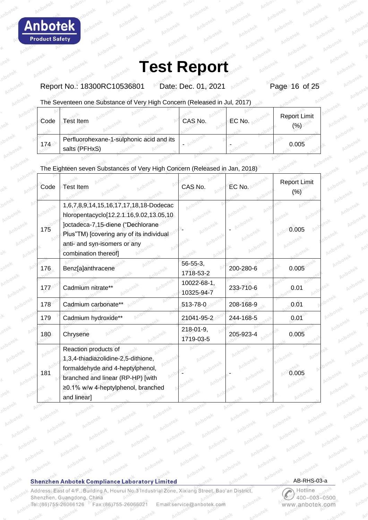Report No.: 18300RC10536801 Date: Dec. 01, 2021 Page 16 of 25

The Seventeen one Substance of Very High Concern (Released in Jul, 2017)

| Code | <b>Test Item</b>                                          | CAS No. | EC No. | <b>Report Limit</b><br>$\frac{1}{2}$ |
|------|-----------------------------------------------------------|---------|--------|--------------------------------------|
| 174  | Perfluorohexane-1-sulphonic acid and its<br>salts (PFHxS) |         |        | 0.005                                |

## The Eighteen seven Substances of Very High Concern (Released in Jan, 2018)

| Code | Test Item                                                                                                                                                                                                                  | CAS No.                      | EC No.    | <b>Report Limit</b><br>(% ) |
|------|----------------------------------------------------------------------------------------------------------------------------------------------------------------------------------------------------------------------------|------------------------------|-----------|-----------------------------|
| 175  | 1,6,7,8,9,14,15,16,17,17,18,18-Dodecac<br>hloropentacyclo[12.2.1.16,9.02,13.05,10<br>Joctadeca-7,15-diene ("Dechlorane<br>Plus"TM) [covering any of its individual<br>anti- and syn-isomers or any<br>combination thereof] |                              |           | 0.005                       |
| 176  | Benz[a]anthracene                                                                                                                                                                                                          | $56 - 55 - 3$ ,<br>1718-53-2 | 200-280-6 | 0.005                       |
| 177  | Cadmium nitrate**                                                                                                                                                                                                          | 10022-68-1,<br>10325-94-7    | 233-710-6 | 0.01                        |
| 178  | Cadmium carbonate**                                                                                                                                                                                                        | 513-78-0                     | 208-168-9 | 0.01                        |
| 179  | Cadmium hydroxide**                                                                                                                                                                                                        | 21041-95-2                   | 244-168-5 | 0.01                        |
| 180  | Chrysene                                                                                                                                                                                                                   | 218-01-9,<br>1719-03-5       | 205-923-4 | 0.005                       |
| 181  | Reaction products of<br>1,3,4-thiadiazolidine-2,5-dithione,<br>formaldehyde and 4-heptylphenol,<br>branched and linear (RP-HP) [with<br>≥0.1% w/w 4-heptylphenol, branched<br>and linear]                                  |                              |           | 0.005                       |

### **Shenzhen Anbotek Compliance Laboratory Limited**

Address: East of 4/F., Building A, Hourui No.3 Industrial Zone, Xixiang Street, Bao'an District, Shenzhen, Guangdong, China Tel:(86)755-26066126 Fax:(86)755-26066021 Email:service@anbotek.com

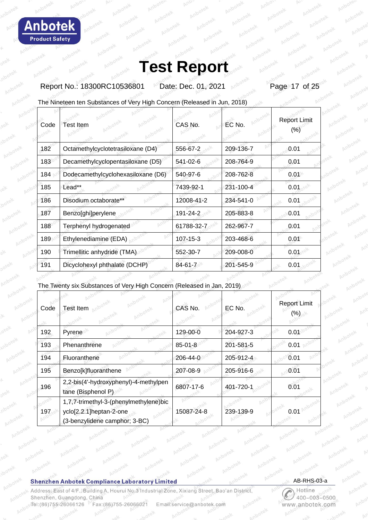Report No.: 18300RC10536801 Date: Dec. 01, 2021 Page 17 of 25

The Nineteen ten Substances of Very High Concern (Released in Jun, 2018)

| Code | <b>Test Item</b>                   | CAS No.        | EC No.    | <b>Report Limit</b><br>(%) |
|------|------------------------------------|----------------|-----------|----------------------------|
| 182  | Octamethylcyclotetrasiloxane (D4)  | 556-67-2       | 209-136-7 | 0.01                       |
| 183  | Decamethylcyclopentasiloxane (D5)  | 541-02-6       | 208-764-9 | 0.01                       |
| 184  | Dodecamethylcyclohexasiloxane (D6) | 540-97-6       | 208-762-8 | 0.01                       |
| 185  | Lead**                             | 7439-92-1      | 231-100-4 | 0.01                       |
| 186  | Disodium octaborate**              | 12008-41-2     | 234-541-0 | 0.01                       |
| 187  | Benzo[ghi]perylene                 | 191-24-2       | 205-883-8 | 0.01                       |
| 188  | Terphenyl hydrogenated             | 61788-32-7     | 262-967-7 | 0.01                       |
| 189  | Ethylenediamine (EDA)              | $107 - 15 - 3$ | 203-468-6 | 0.01                       |
| 190  | Trimellitic anhydride (TMA)        | 552-30-7       | 209-008-0 | 0.01                       |
| 191  | Dicyclohexyl phthalate (DCHP)      | $84 - 61 - 7$  | 201-545-9 | 0.01                       |

## The Twenty six Substances of Very High Concern (Released in Jan, 2019)

| Code | <b>Test Item</b>                                                                                   | CAS No.       | EC No.    | <b>Report Limit</b><br>(%) |
|------|----------------------------------------------------------------------------------------------------|---------------|-----------|----------------------------|
| 192  | Pyrene                                                                                             | 129-00-0      | 204-927-3 | 0.01                       |
| 193  | Phenanthrene                                                                                       | $85 - 01 - 8$ | 201-581-5 | 0.01                       |
| 194  | Fluoranthene                                                                                       | 206-44-0      | 205-912-4 | 0.01                       |
| 195  | Benzo[k]fluoranthene                                                                               | 207-08-9      | 205-916-6 | 0.01                       |
| 196  | 2,2-bis(4'-hydroxyphenyl)-4-methylpen<br>tane (Bisphenol P)                                        | 6807-17-6     | 401-720-1 | 0.01                       |
| 197  | 1,7,7-trimethyl-3-(phenylmethylene)bic<br>yclo[2.2.1]heptan-2-one<br>(3-benzylidene camphor; 3-BC) | 15087-24-8    | 239-139-9 | 0.01                       |

## **Shenzhen Anbotek Compliance Laboratory Limited**

Address: East of 4/F., Building A, Hourui No.3 Industrial Zone, Xixiang Street, Bao'an District, Shenzhen, Guangdong, China Tel:(86)755-26066126 Fax:(86)755-26066021 Email:service@anbotek.com

AB-RHS-03-a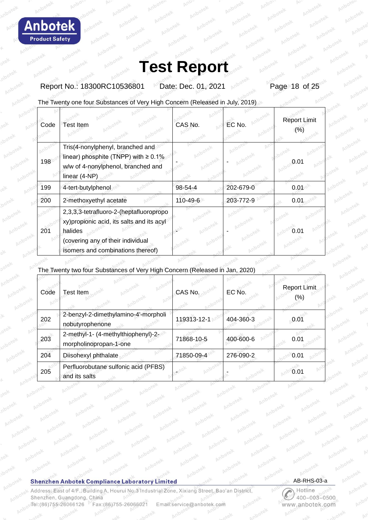

Report No.: 18300RC10536801 Date: Dec. 01, 2021 Page 18 of 25

The Twenty one four Substances of Very High Concern (Released in July, 2019)

| Code | Test Item                                                                                                                                                                  | CAS No.  | EC No.    | <b>Report Limit</b><br>(%) |
|------|----------------------------------------------------------------------------------------------------------------------------------------------------------------------------|----------|-----------|----------------------------|
| 198  | Tris(4-nonylphenyl, branched and<br>linear) phosphite (TNPP) with $\geq 0.1\%$<br>w/w of 4-nonylphenol, branched and<br>linear (4-NP)                                      |          |           | 0.01                       |
| 199  | 4-tert-butylphenol                                                                                                                                                         | 98-54-4  | 202-679-0 | 0.01                       |
| 200  | 2-methoxyethyl acetate                                                                                                                                                     | 110-49-6 | 203-772-9 | 0.01                       |
| 201  | 2,3,3,3-tetrafluoro-2-(heptafluoropropo<br>xy) propionic acid, its salts and its acyl<br>halides<br>(covering any of their individual<br>isomers and combinations thereof) |          |           | u u                        |

The Twenty two four Substances of Very High Concern (Released in Jan, 2020)

| Code | <b>Test Item</b>                                              | CAS No.     | EC No.    | Report Limit<br>(%) |
|------|---------------------------------------------------------------|-------------|-----------|---------------------|
| 202  | 2-benzyl-2-dimethylamino-4'-morpholi<br>nobutyrophenone       | 119313-12-1 | 404-360-3 | 0.01                |
| 203  | 2-methyl-1- (4-methylthiophenyl)-2-<br>morpholinopropan-1-one | 71868-10-5  | 400-600-6 | 0.01                |
| 204  | Diisohexyl phthalate                                          | 71850-09-4  | 276-090-2 | 0.01                |
| 205  | Perfluorobutane sulfonic acid (PFBS)<br>and its salts         |             |           | 0.01                |

### **Shenzhen Anbotek Compliance Laboratory Limited**

Address: East of 4/F., Building A, Hourui No.3 Industrial Zone, Xixiang Street, Bao'an District, Shenzhen, Guangdong, China Tel:(86)755-26066126 Fax: (86) 755-26066021 Email:service@anbotek.com

AB-RHS-03-a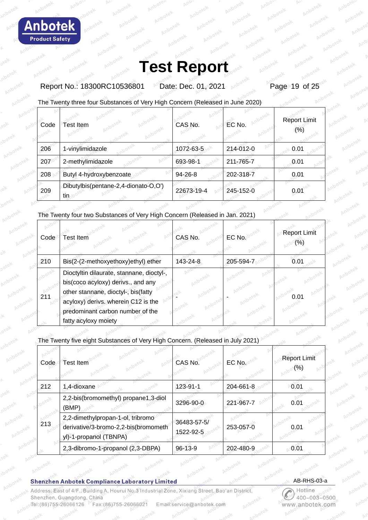Report No.: 18300RC10536801 Date: Dec. 01, 2021 Page 19 of 25

The Twenty three four Substances of Very High Concern (Released in June 2020)

| Code | Test Item                                   | CAS No.    | EC No.    | <b>Report Limit</b><br>(% ) |
|------|---------------------------------------------|------------|-----------|-----------------------------|
| 206  | 1-vinylimidazole                            | 1072-63-5  | 214-012-0 | 0.01                        |
| 207  | 2-methylimidazole                           | 693-98-1   | 211-765-7 | 0.01                        |
| 208  | Butyl 4-hydroxybenzoate                     | 94-26-8    | 202-318-7 | 0.01                        |
| 209  | Dibutylbis(pentane-2,4-dionato-O,O')<br>tin | 22673-19-4 | 245-152-0 | 0.01                        |

The Twenty four two Substances of Very High Concern (Released in Jan. 2021)

| Code | <b>Test Item</b>                                                                                                                                                                                                          | CAS No.  | EC No     | <b>Report Limit</b><br>(%) |
|------|---------------------------------------------------------------------------------------------------------------------------------------------------------------------------------------------------------------------------|----------|-----------|----------------------------|
| 210  | Bis(2-(2-methoxyethoxy)ethyl) ether                                                                                                                                                                                       | 143-24-8 | 205-594-7 | 0.01                       |
| 211  | Dioctyltin dilaurate, stannane, dioctyl-,<br>bis(coco acyloxy) derivs., and any<br>other stannane, dioctyl-, bis(fatty<br>acyloxy) derivs. wherein C12 is the<br>predominant carbon number of the<br>fatty acyloxy moiety |          |           | $0.0^{\circ}$              |

The Twenty five eight Substances of Very High Concern. (Released in July 2021)

| Code | Test Item                                                                                           | CAS No.                  | EC No.    | <b>Report Limit</b><br>(%) |
|------|-----------------------------------------------------------------------------------------------------|--------------------------|-----------|----------------------------|
| 212  | 1,4-dioxane                                                                                         | 123-91-1                 | 204-661-8 | 0.01                       |
|      | 2,2-bis(bromomethyl) propane1,3-diol<br>(BMP)                                                       | 3296-90-0                | 221-967-7 | 0.01                       |
| 213  | 2,2-dimethylpropan-1-ol, tribromo<br>derivative/3-bromo-2,2-bis(bromometh<br>yl)-1-propanol (TBNPA) | 36483-57-5/<br>1522-92-5 | 253-057-0 | 0.01                       |
|      | 2,3-dibromo-1-propanol (2,3-DBPA)                                                                   | $96 - 13 - 9$            | 202-480-9 | 0.01                       |

**Shenzhen Anbotek Compliance Laboratory Limited** 

Address: East of 4/F., Building A, Hourui No.3 Industrial Zone, Xixiang Street, Bao'an District Shenzhen, Guangdong, China Tel:(86)755-26066126 Fax:(86)755-2606602 Email:service@anbotek.com

AB-RHS-03-a

 $003 - 0500$ 400 anbotek.con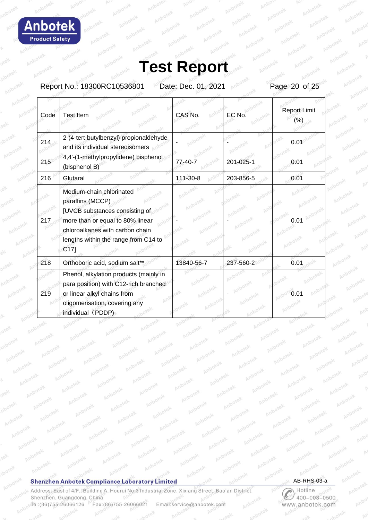Δ h Ω **Product Safety** 

# **Test Report**

Report No.: 18300RC10536801 Date: Dec. 01, 2021 Page 20 of 25

| Code | <b>Test Item</b>                                                                                                                                                                                                 | CAS No.    | EC No     | <b>Report Limit</b><br>(%) |
|------|------------------------------------------------------------------------------------------------------------------------------------------------------------------------------------------------------------------|------------|-----------|----------------------------|
| 214  | 2-(4-tert-butylbenzyl) propionaldehyde<br>and its individual stereoisomers                                                                                                                                       |            |           | 0.01                       |
| 215  | 4,4'-(1-methylpropylidene) bisphenol<br>(bisphenol B)                                                                                                                                                            | 77-40-7    | 201-025-1 | 0.01                       |
| 216  | Glutaral                                                                                                                                                                                                         | 111-30-8   | 203-856-5 | 0.01                       |
| 217  | Medium-chain chlorinated<br>paraffins (MCCP)<br>[UVCB substances consisting of<br>more than or equal to 80% linear<br>chloroalkanes with carbon chain<br>lengths within the range from C14 to<br>C <sub>17</sub> |            |           | <b>0.01</b>                |
| 218  | Orthoboric acid, sodium salt**                                                                                                                                                                                   | 13840-56-7 | 237-560-2 | 0.01                       |
| 219  | Phenol, alkylation products (mainly in<br>para position) with C12-rich branched<br>or linear alkyl chains from<br>oligomerisation, covering any<br>individual (PDDP)                                             |            |           |                            |

### **Shenzhen Anbotek Compliance Laboratory Limited**

**Prup** 

Address: East of 4/F., Building A, Hourui No.3 Industrial Zone, Xixiang Street, Bao'an District, Shenzhen, Guangdong, China Tel:(86)755-26066126 Fax:(86)755-26066021 Email:service@anbotek.com



 $400 - 003 - 0500$ www.anbotek.com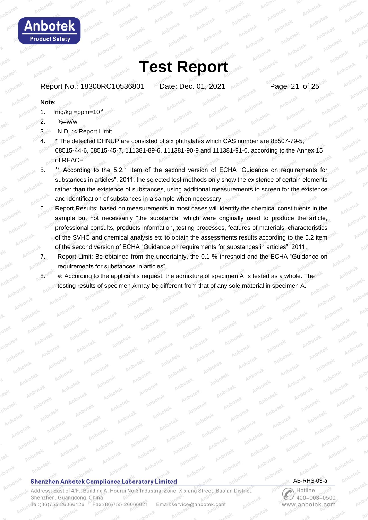Report No.: 18300RC10536801 Date: Dec. 01, 2021 **Page 21 of 25** 

### **Note:**

**Anbotek Product Safety** 

- 1.  $mg/kg = ppm = 10^{-6}$
- 2.  $%=W/W$
- 3. N.D. :< Report Limit
- 4. \* The detected DHNUP are consisted of six phthalates which CAS number are 85507-79-5, 68515-44-6, 68515-45-7, 111381-89-6, 111381-90-9 and 111381-91-0. according to the Annex 15 of REACH.
- \*\* According to the 5.2.1 item of the second version of ECHA "Guidance on requirements for substances in articles", 2011, the selected test methods only show the existence of certain elements rather than the existence of substances, using additional measurements to screen for the existence and identification of substances in a sample when necessary.
- 6. Report Results: based on measurements in most cases will identify the chemical constituents in the sample but not necessarily "the substance" which were originally used to produce the article, professional consults, products information, testing processes, features of materials, characteristics of the SVHC and chemical analysis etc to obtain the assessments results according to the 5.2 item of the second version of ECHA "Guidance on requirements for substances in articles", 2011.
- 7. Report Limit: Be obtained from the uncertainty, the 0.1 % threshold and the ECHA "Guidance on requirements for substances in articles".
- 8. #: According to the applicant's request, the admixture of specimen A is tested as a whole. The testing results of specimen A may be different from that of any sole material in specimen A.

#### **Shenzhen Anbotek Compliance Laboratory Limited**

Address: East of 4/F., Building A, Hourui No.3 Industrial Zone, Xixiang Street, Bao'an District, Shenzhen, Guangdong, China Fax: (86) 755-26066021 Tel:(86)755-26066126 Email:service@anbotek.com

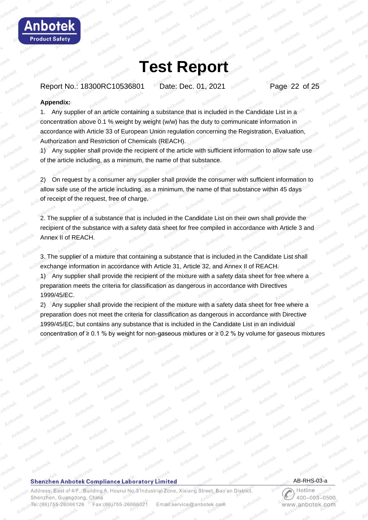

Report No.: 18300RC10536801 Date: Dec. 01, 2021 Page 22 of 25

#### **Appendix:**

**Anbotek Product Safety** 

> 1. Any supplier of an article containing a substance that is included in the Candidate List in a concentration above 0.1 % weight by weight (w/w) has the duty to communicate information in accordance with Article 33 of European Union regulation concerning the Registration, Evaluation, Authorization and Restriction of Chemicals (REACH).

1) Any supplier shall provide the recipient of the article with sufficient information to allow safe use of the article including, as a minimum, the name of that substance.

2) On request by a consumer any supplier shall provide the consumer with sufficient information to allow safe use of the article including, as a minimum, the name of that substance within 45 days of receipt of the request, free of charge.

2. The supplier of a substance that is included in the Candidate List on their own shall provide the recipient of the substance with a safety data sheet for free compiled in accordance with Article 3 and Annex II of REACH.

3. The supplier of a mixture that containing a substance that is included in the Candidate List shall exchange information in accordance with Article 31, Article 32, and Annex II of REACH.

1) Any supplier shall provide the recipient of the mixture with a safety data sheet for free where a preparation meets the criteria for classification as dangerous in accordance with Directives 1999/45/EC.

2) Any supplier shall provide the recipient of the mixture with a safety data sheet for free where a preparation does not meet the criteria for classification as dangerous in accordance with Directive 1999/45/EC, but contains any substance that is included in the Candidate List in an individual concentration of ≥ 0.1 % by weight for non-gaseous mixtures or ≥ 0.2 % by volume for gaseous mixtures

#### **Shenzhen Anbotek Compliance Laboratory Limited**

Address: East of 4/F., Building A, Hourui No.3 Industrial Zone, Xixiang Street, Bao'an District, Shenzhen, Guangdong, China Tel:(86)755-26066126 Fax:(86)755-26066021 Email:service@anbotek.com



 $400 - 003 - 0500$ www.anbotek.com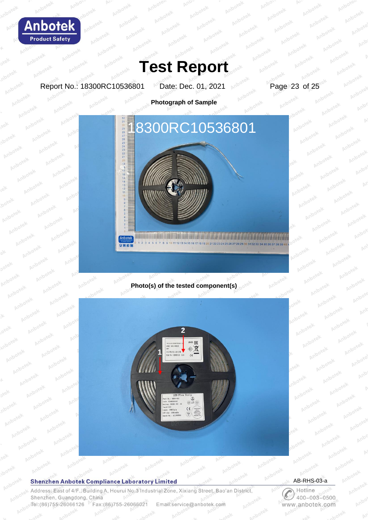

Report No.: 18300RC10536801 Date: Dec. 01, 2021 Page 23 of 25

Anbo

**Photograph of Sample**



**Photo(s) of the tested component(s)**



#### **Shenzhen Anbotek Compliance Laboratory Limited**

Address: East of 4/F., Building A, Hourui No.3 Industrial Zone, Xixiang Street, Bao'an District, Shenzhen, Guangdong, China Tel:(86)755-26066126 Fax:(86)755-26066021 Email:service@anbotek.com

AB-RHS-03-a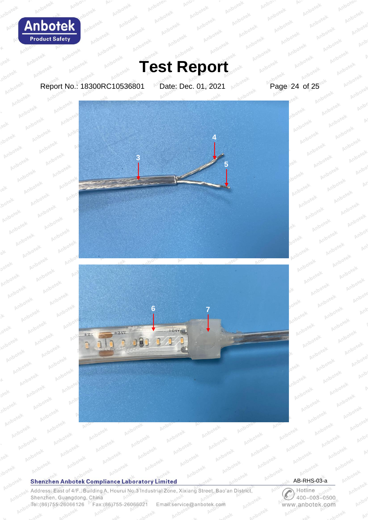

Anbo

pr

Anbr

Anb

## **Test Report**

Report No.: 18300RC10536801 Date: Dec. 01, 2021 Page 24 of 25





### **Shenzhen Anbotek Compliance Laboratory Limited**

Ano

Address: East of 4/F., Building A, Hourui No.3 Industrial Zone, Xixiang Street, Bao'an District, Shenzhen, Guangdong, China Tel:(86)755-26066126 Fax: (86) 755-26066021 Email:service@anbotek.com



**DS** 

Anjo

 $\mathbb{N}$ Hotline  $400 - 003 - 0500$ www.anbotek.com